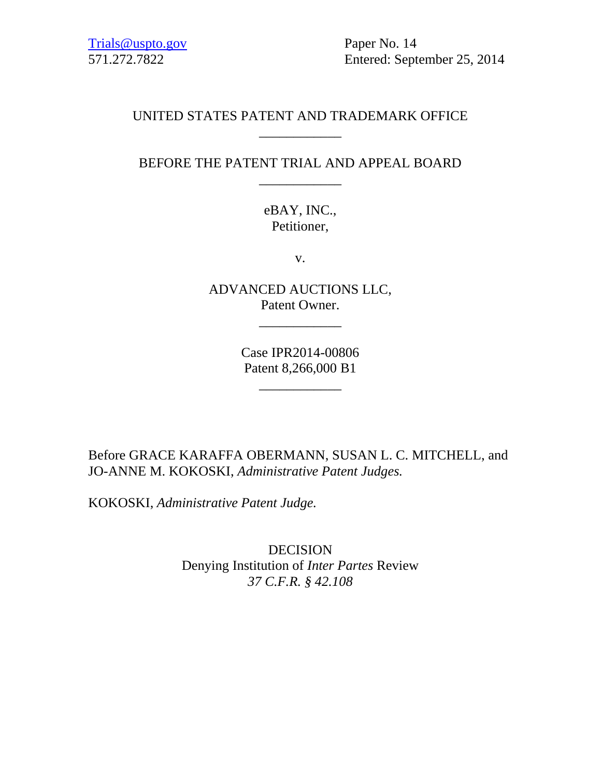Trials@uspto.gov Paper No. 14

571.272.7822 Entered: September 25, 2014

## UNITED STATES PATENT AND TRADEMARK OFFICE \_\_\_\_\_\_\_\_\_\_\_\_

# BEFORE THE PATENT TRIAL AND APPEAL BOARD \_\_\_\_\_\_\_\_\_\_\_\_

eBAY, INC., Petitioner,

v.

ADVANCED AUCTIONS LLC, Patent Owner.

\_\_\_\_\_\_\_\_\_\_\_\_

Case IPR2014-00806 Patent 8,266,000 B1

\_\_\_\_\_\_\_\_\_\_\_\_

Before GRACE KARAFFA OBERMANN, SUSAN L. C. MITCHELL, and JO-ANNE M. KOKOSKI, *Administrative Patent Judges.*

KOKOSKI, *Administrative Patent Judge.*

DECISION Denying Institution of *Inter Partes* Review *37 C.F.R. § 42.108*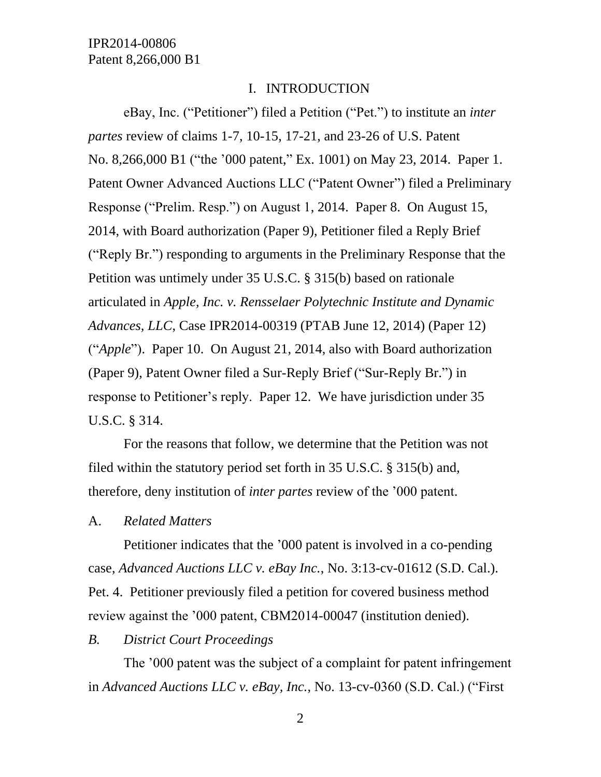## I. INTRODUCTION

eBay, Inc. ("Petitioner") filed a Petition ("Pet.") to institute an *inter partes* review of claims 1-7, 10-15, 17-21, and 23-26 of U.S. Patent No. 8,266,000 B1 ("the '000 patent," Ex. 1001) on May 23, 2014. Paper 1. Patent Owner Advanced Auctions LLC ("Patent Owner") filed a Preliminary Response ("Prelim. Resp.") on August 1, 2014. Paper 8. On August 15, 2014, with Board authorization (Paper 9), Petitioner filed a Reply Brief ("Reply Br.") responding to arguments in the Preliminary Response that the Petition was untimely under 35 U.S.C. § 315(b) based on rationale articulated in *Apple, Inc. v. Rensselaer Polytechnic Institute and Dynamic Advances, LLC*, Case IPR2014-00319 (PTAB June 12, 2014) (Paper 12) ("*Apple*"). Paper 10. On August 21, 2014, also with Board authorization (Paper 9), Patent Owner filed a Sur-Reply Brief ("Sur-Reply Br.") in response to Petitioner's reply. Paper 12. We have jurisdiction under 35 U.S.C. § 314.

For the reasons that follow, we determine that the Petition was not filed within the statutory period set forth in 35 U.S.C. § 315(b) and, therefore, deny institution of *inter partes* review of the '000 patent.

### A. *Related Matters*

Petitioner indicates that the '000 patent is involved in a co-pending case, *Advanced Auctions LLC v. eBay Inc.*, No. 3:13-cv-01612 (S.D. Cal.). Pet. 4. Petitioner previously filed a petition for covered business method review against the '000 patent, CBM2014-00047 (institution denied).

#### *B. District Court Proceedings*

The '000 patent was the subject of a complaint for patent infringement in *Advanced Auctions LLC v. eBay, Inc.*, No. 13-cv-0360 (S.D. Cal.) ("First

2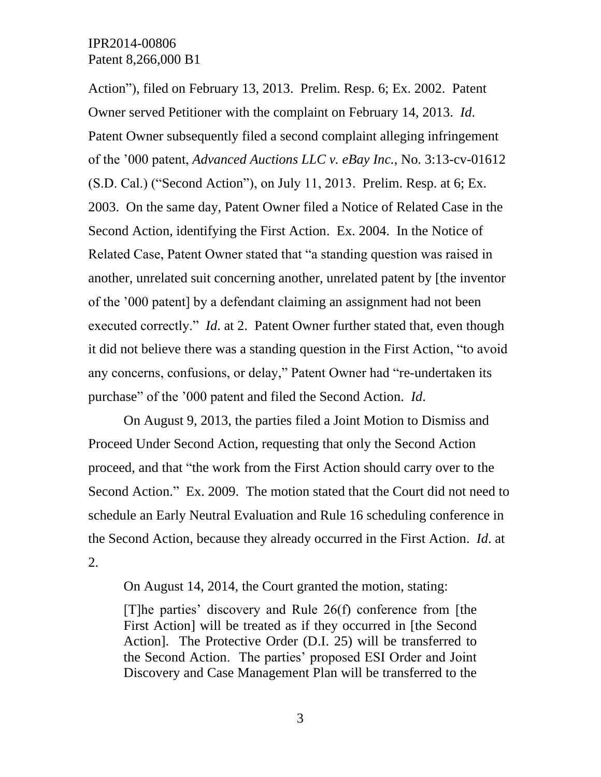Action"), filed on February 13, 2013. Prelim. Resp. 6; Ex. 2002. Patent Owner served Petitioner with the complaint on February 14, 2013. *Id*. Patent Owner subsequently filed a second complaint alleging infringement of the '000 patent, *Advanced Auctions LLC v. eBay Inc.*, No. 3:13-cv-01612 (S.D. Cal.) ("Second Action"), on July 11, 2013. Prelim. Resp. at 6; Ex. 2003. On the same day, Patent Owner filed a Notice of Related Case in the Second Action, identifying the First Action. Ex. 2004. In the Notice of Related Case, Patent Owner stated that "a standing question was raised in another, unrelated suit concerning another, unrelated patent by [the inventor of the '000 patent] by a defendant claiming an assignment had not been executed correctly." *Id*. at 2. Patent Owner further stated that, even though it did not believe there was a standing question in the First Action, "to avoid any concerns, confusions, or delay," Patent Owner had "re-undertaken its purchase" of the '000 patent and filed the Second Action. *Id*.

On August 9, 2013, the parties filed a Joint Motion to Dismiss and Proceed Under Second Action, requesting that only the Second Action proceed, and that "the work from the First Action should carry over to the Second Action." Ex. 2009. The motion stated that the Court did not need to schedule an Early Neutral Evaluation and Rule 16 scheduling conference in the Second Action, because they already occurred in the First Action. *Id*. at 2.

On August 14, 2014, the Court granted the motion, stating:

[T]he parties' discovery and Rule 26(f) conference from [the First Action] will be treated as if they occurred in [the Second Action]. The Protective Order (D.I. 25) will be transferred to the Second Action. The parties' proposed ESI Order and Joint Discovery and Case Management Plan will be transferred to the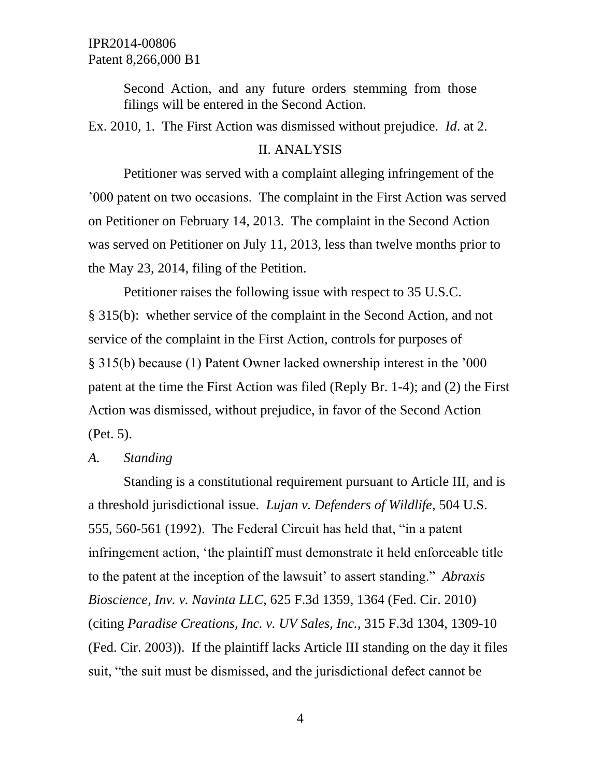Second Action, and any future orders stemming from those filings will be entered in the Second Action.

Ex. 2010, 1. The First Action was dismissed without prejudice. *Id*. at 2.

### II. ANALYSIS

Petitioner was served with a complaint alleging infringement of the '000 patent on two occasions. The complaint in the First Action was served on Petitioner on February 14, 2013. The complaint in the Second Action was served on Petitioner on July 11, 2013, less than twelve months prior to the May 23, 2014, filing of the Petition.

Petitioner raises the following issue with respect to 35 U.S.C. § 315(b): whether service of the complaint in the Second Action, and not service of the complaint in the First Action, controls for purposes of § 315(b) because (1) Patent Owner lacked ownership interest in the '000 patent at the time the First Action was filed (Reply Br. 1-4); and (2) the First Action was dismissed, without prejudice, in favor of the Second Action (Pet. 5).

### *A. Standing*

Standing is a constitutional requirement pursuant to Article III, and is a threshold jurisdictional issue. *Lujan v. Defenders of Wildlife*, 504 U.S. 555, 560-561 (1992). The Federal Circuit has held that, "in a patent infringement action, 'the plaintiff must demonstrate it held enforceable title to the patent at the inception of the lawsuit' to assert standing." *Abraxis Bioscience, Inv. v. Navinta LLC*, 625 F.3d 1359, 1364 (Fed. Cir. 2010) (citing *Paradise Creations, Inc. v. UV Sales, Inc.*, 315 F.3d 1304, 1309-10 (Fed. Cir. 2003)). If the plaintiff lacks Article III standing on the day it files suit, "the suit must be dismissed, and the jurisdictional defect cannot be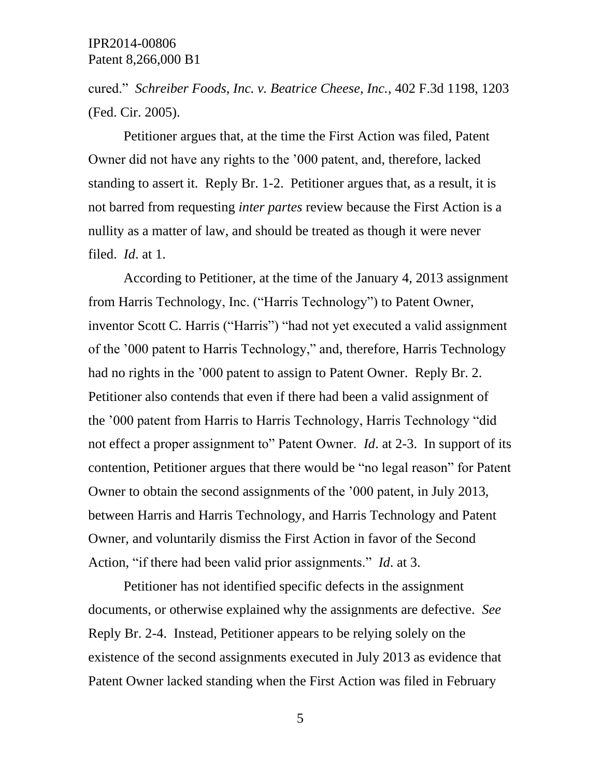cured." *Schreiber Foods, Inc. v. Beatrice Cheese, Inc.*, 402 F.3d 1198, 1203 (Fed. Cir. 2005).

Petitioner argues that, at the time the First Action was filed, Patent Owner did not have any rights to the '000 patent, and, therefore, lacked standing to assert it. Reply Br. 1-2. Petitioner argues that, as a result, it is not barred from requesting *inter partes* review because the First Action is a nullity as a matter of law, and should be treated as though it were never filed. *Id*. at 1.

According to Petitioner, at the time of the January 4, 2013 assignment from Harris Technology, Inc. ("Harris Technology") to Patent Owner, inventor Scott C. Harris ("Harris") "had not yet executed a valid assignment of the '000 patent to Harris Technology," and, therefore, Harris Technology had no rights in the '000 patent to assign to Patent Owner. Reply Br. 2. Petitioner also contends that even if there had been a valid assignment of the '000 patent from Harris to Harris Technology, Harris Technology "did not effect a proper assignment to" Patent Owner. *Id*. at 2-3. In support of its contention, Petitioner argues that there would be "no legal reason" for Patent Owner to obtain the second assignments of the '000 patent, in July 2013, between Harris and Harris Technology, and Harris Technology and Patent Owner, and voluntarily dismiss the First Action in favor of the Second Action, "if there had been valid prior assignments." *Id*. at 3.

Petitioner has not identified specific defects in the assignment documents, or otherwise explained why the assignments are defective. *See* Reply Br. 2-4. Instead, Petitioner appears to be relying solely on the existence of the second assignments executed in July 2013 as evidence that Patent Owner lacked standing when the First Action was filed in February

5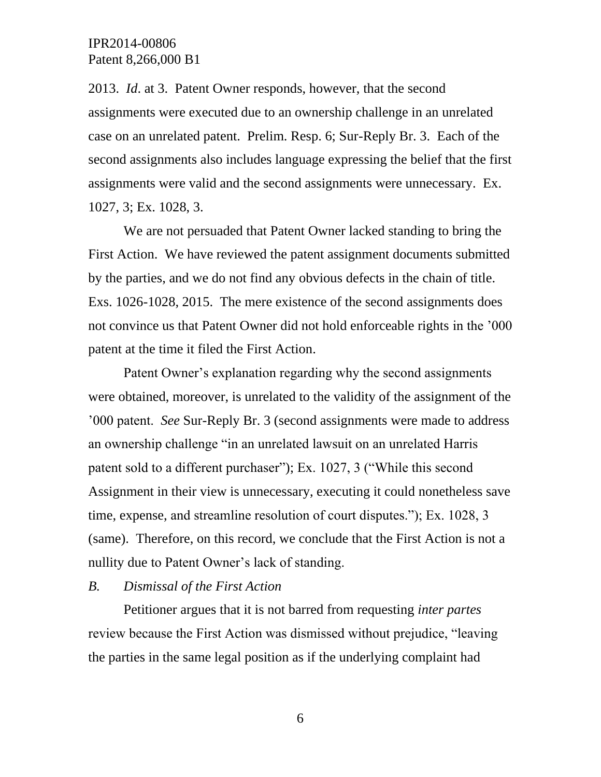2013. *Id*. at 3. Patent Owner responds, however, that the second assignments were executed due to an ownership challenge in an unrelated case on an unrelated patent. Prelim. Resp. 6; Sur-Reply Br. 3. Each of the second assignments also includes language expressing the belief that the first assignments were valid and the second assignments were unnecessary. Ex. 1027, 3; Ex. 1028, 3.

We are not persuaded that Patent Owner lacked standing to bring the First Action. We have reviewed the patent assignment documents submitted by the parties, and we do not find any obvious defects in the chain of title. Exs. 1026-1028, 2015. The mere existence of the second assignments does not convince us that Patent Owner did not hold enforceable rights in the '000 patent at the time it filed the First Action.

Patent Owner's explanation regarding why the second assignments were obtained, moreover, is unrelated to the validity of the assignment of the '000 patent. *See* Sur-Reply Br. 3 (second assignments were made to address an ownership challenge "in an unrelated lawsuit on an unrelated Harris patent sold to a different purchaser"); Ex. 1027, 3 ("While this second Assignment in their view is unnecessary, executing it could nonetheless save time, expense, and streamline resolution of court disputes."); Ex. 1028, 3 (same). Therefore, on this record, we conclude that the First Action is not a nullity due to Patent Owner's lack of standing.

#### *B. Dismissal of the First Action*

Petitioner argues that it is not barred from requesting *inter partes* review because the First Action was dismissed without prejudice, "leaving the parties in the same legal position as if the underlying complaint had

6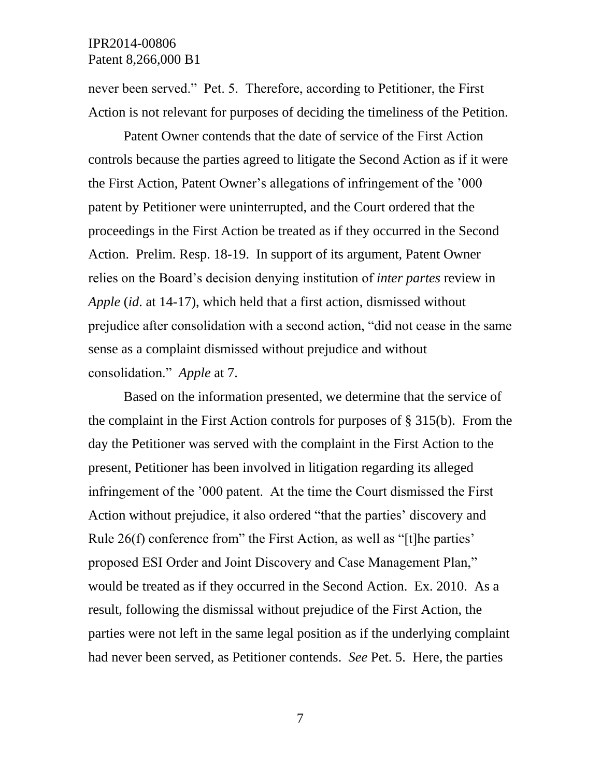never been served." Pet. 5. Therefore, according to Petitioner, the First Action is not relevant for purposes of deciding the timeliness of the Petition.

Patent Owner contends that the date of service of the First Action controls because the parties agreed to litigate the Second Action as if it were the First Action, Patent Owner's allegations of infringement of the '000 patent by Petitioner were uninterrupted, and the Court ordered that the proceedings in the First Action be treated as if they occurred in the Second Action. Prelim. Resp. 18-19. In support of its argument, Patent Owner relies on the Board's decision denying institution of *inter partes* review in *Apple* (*id*. at 14-17), which held that a first action, dismissed without prejudice after consolidation with a second action, "did not cease in the same sense as a complaint dismissed without prejudice and without consolidation." *Apple* at 7.

Based on the information presented, we determine that the service of the complaint in the First Action controls for purposes of § 315(b). From the day the Petitioner was served with the complaint in the First Action to the present, Petitioner has been involved in litigation regarding its alleged infringement of the '000 patent. At the time the Court dismissed the First Action without prejudice, it also ordered "that the parties' discovery and Rule 26(f) conference from" the First Action, as well as "[t]he parties' proposed ESI Order and Joint Discovery and Case Management Plan," would be treated as if they occurred in the Second Action. Ex. 2010. As a result, following the dismissal without prejudice of the First Action, the parties were not left in the same legal position as if the underlying complaint had never been served, as Petitioner contends. *See* Pet. 5. Here, the parties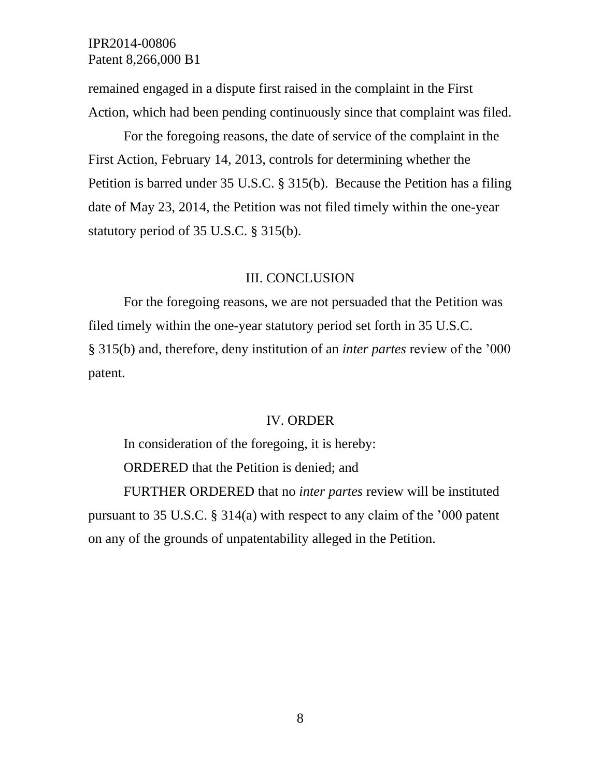remained engaged in a dispute first raised in the complaint in the First Action, which had been pending continuously since that complaint was filed.

For the foregoing reasons, the date of service of the complaint in the First Action, February 14, 2013, controls for determining whether the Petition is barred under 35 U.S.C. § 315(b). Because the Petition has a filing date of May 23, 2014, the Petition was not filed timely within the one-year statutory period of 35 U.S.C. § 315(b).

#### III. CONCLUSION

For the foregoing reasons, we are not persuaded that the Petition was filed timely within the one-year statutory period set forth in 35 U.S.C. § 315(b) and, therefore, deny institution of an *inter partes* review of the '000 patent.

#### IV. ORDER

In consideration of the foregoing, it is hereby: ORDERED that the Petition is denied; and FURTHER ORDERED that no *inter partes* review will be instituted pursuant to 35 U.S.C. § 314(a) with respect to any claim of the '000 patent

on any of the grounds of unpatentability alleged in the Petition.